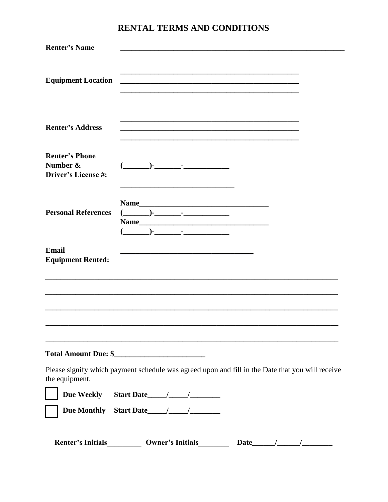| <b>Renter's Name</b>                                            |                                                                                                                                                                                                                                                                                                                                                                                                                                                                                                                                                                                                                                                                                                |                                                                                                  |
|-----------------------------------------------------------------|------------------------------------------------------------------------------------------------------------------------------------------------------------------------------------------------------------------------------------------------------------------------------------------------------------------------------------------------------------------------------------------------------------------------------------------------------------------------------------------------------------------------------------------------------------------------------------------------------------------------------------------------------------------------------------------------|--------------------------------------------------------------------------------------------------|
| <b>Equipment Location</b>                                       | <u> 1989 - Johann John Harry Harry Harry Harry Harry Harry Harry Harry Harry Harry Harry Harry Harry Harry Harry</u>                                                                                                                                                                                                                                                                                                                                                                                                                                                                                                                                                                           |                                                                                                  |
| <b>Renter's Address</b>                                         | <u> 1989 - Johann Barn, amerikan berkema dalam berkema dalam berkema dalam berkema dalam berkema dalam berkema da</u>                                                                                                                                                                                                                                                                                                                                                                                                                                                                                                                                                                          |                                                                                                  |
| <b>Renter's Phone</b><br>Number &<br><b>Driver's License #:</b> | ( )- <u>-</u> _________                                                                                                                                                                                                                                                                                                                                                                                                                                                                                                                                                                                                                                                                        |                                                                                                  |
| <b>Personal References</b>                                      | $\begin{picture}(20,10) \put(0,0){\line(1,0){10}} \put(15,0){\line(1,0){10}} \put(15,0){\line(1,0){10}} \put(15,0){\line(1,0){10}} \put(15,0){\line(1,0){10}} \put(15,0){\line(1,0){10}} \put(15,0){\line(1,0){10}} \put(15,0){\line(1,0){10}} \put(15,0){\line(1,0){10}} \put(15,0){\line(1,0){10}} \put(15,0){\line(1,0){10}} \put(15,0){\line(1$<br>$\left( \begin{array}{ccc} 1 & 0 & 0 \\ 0 & 0 & 0 \\ 0 & 0 & 0 \\ 0 & 0 & 0 \\ 0 & 0 & 0 \\ 0 & 0 & 0 \\ 0 & 0 & 0 \\ 0 & 0 & 0 \\ 0 & 0 & 0 \\ 0 & 0 & 0 \\ 0 & 0 & 0 \\ 0 & 0 & 0 \\ 0 & 0 & 0 \\ 0 & 0 & 0 & 0 \\ 0 & 0 & 0 & 0 \\ 0 & 0 & 0 & 0 \\ 0 & 0 & 0 & 0 \\ 0 & 0 & 0 & 0 & 0 \\ 0 & 0 & 0 & 0 & 0 \\ 0 & 0 & 0 & 0 & 0 \\$ |                                                                                                  |
| <b>Email</b><br><b>Equipment Rented:</b>                        |                                                                                                                                                                                                                                                                                                                                                                                                                                                                                                                                                                                                                                                                                                |                                                                                                  |
|                                                                 |                                                                                                                                                                                                                                                                                                                                                                                                                                                                                                                                                                                                                                                                                                |                                                                                                  |
|                                                                 |                                                                                                                                                                                                                                                                                                                                                                                                                                                                                                                                                                                                                                                                                                |                                                                                                  |
| the equipment.                                                  |                                                                                                                                                                                                                                                                                                                                                                                                                                                                                                                                                                                                                                                                                                | Please signify which payment schedule was agreed upon and fill in the Date that you will receive |
|                                                                 |                                                                                                                                                                                                                                                                                                                                                                                                                                                                                                                                                                                                                                                                                                |                                                                                                  |
|                                                                 | Due Monthly Start Date 11 1                                                                                                                                                                                                                                                                                                                                                                                                                                                                                                                                                                                                                                                                    |                                                                                                  |
| <b>Renter's Initials</b>                                        | <b>Owner's Initials</b>                                                                                                                                                                                                                                                                                                                                                                                                                                                                                                                                                                                                                                                                        | Date $\frac{1}{\sqrt{2\pi}}$                                                                     |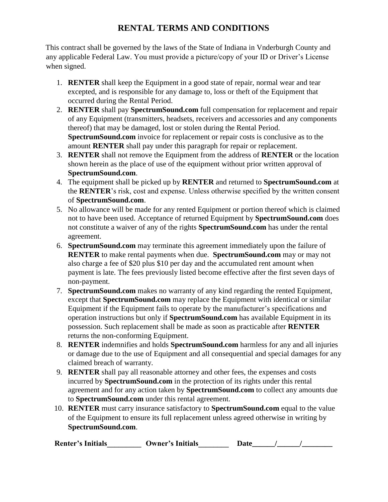This contract shall be governed by the laws of the State of Indiana in Vnderburgh County and any applicable Federal Law. You must provide a picture/copy of your ID or Driver's License when signed.

- 1. **RENTER** shall keep the Equipment in a good state of repair, normal wear and tear excepted, and is responsible for any damage to, loss or theft of the Equipment that occurred during the Rental Period.
- 2. **RENTER** shall pay **SpectrumSound.com** full compensation for replacement and repair of any Equipment (transmitters, headsets, receivers and accessories and any components thereof) that may be damaged, lost or stolen during the Rental Period. **SpectrumSound.com** invoice for replacement or repair costs is conclusive as to the amount **RENTER** shall pay under this paragraph for repair or replacement.
- 3. **RENTER** shall not remove the Equipment from the address of **RENTER** or the location shown herein as the place of use of the equipment without prior written approval of **SpectrumSound.com**.
- 4. The equipment shall be picked up by **RENTER** and returned to **SpectrumSound.com** at the **RENTER**'s risk, cost and expense. Unless otherwise specified by the written consent of **SpectrumSound.com**.
- 5. No allowance will be made for any rented Equipment or portion thereof which is claimed not to have been used. Acceptance of returned Equipment by **SpectrumSound.com** does not constitute a waiver of any of the rights **SpectrumSound.com** has under the rental agreement.
- 6. **SpectrumSound.com** may terminate this agreement immediately upon the failure of **RENTER** to make rental payments when due. **SpectrumSound.com** may or may not also charge a fee of \$20 plus \$10 per day and the accumulated rent amount when payment is late. The fees previously listed become effective after the first seven days of non-payment.
- 7. **SpectrumSound.com** makes no warranty of any kind regarding the rented Equipment, except that **SpectrumSound.com** may replace the Equipment with identical or similar Equipment if the Equipment fails to operate by the manufacturer's specifications and operation instructions but only if **SpectrumSound.com** has available Equipment in its possession. Such replacement shall be made as soon as practicable after **RENTER** returns the non-conforming Equipment.
- 8. **RENTER** indemnifies and holds **SpectrumSound.com** harmless for any and all injuries or damage due to the use of Equipment and all consequential and special damages for any claimed breach of warranty.
- 9. **RENTER** shall pay all reasonable attorney and other fees, the expenses and costs incurred by **SpectrumSound.com** in the protection of its rights under this rental agreement and for any action taken by **SpectrumSound.com** to collect any amounts due to **SpectrumSound.com** under this rental agreement.
- 10. **RENTER** must carry insurance satisfactory to **SpectrumSound.com** equal to the value of the Equipment to ensure its full replacement unless agreed otherwise in writing by **SpectrumSound.com**.

| <b>Renter's Initials</b> | Owner's Initials | ')ate |  |
|--------------------------|------------------|-------|--|
|--------------------------|------------------|-------|--|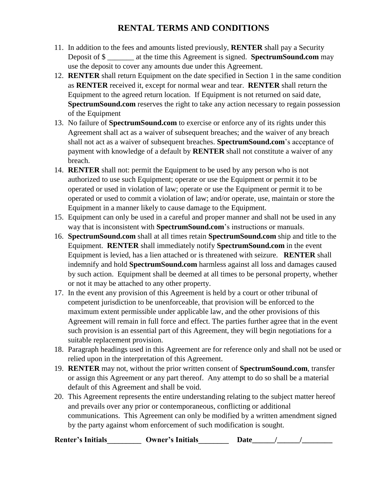- 11. In addition to the fees and amounts listed previously, **RENTER** shall pay a Security Deposit of \$ \_\_\_\_\_\_\_ at the time this Agreement is signed. **SpectrumSound.com** may use the deposit to cover any amounts due under this Agreement.
- 12. **RENTER** shall return Equipment on the date specified in Section 1 in the same condition as **RENTER** received it, except for normal wear and tear. **RENTER** shall return the Equipment to the agreed return location. If Equipment is not returned on said date, **SpectrumSound.com** reserves the right to take any action necessary to regain possession of the Equipment
- 13. No failure of **SpectrumSound.com** to exercise or enforce any of its rights under this Agreement shall act as a waiver of subsequent breaches; and the waiver of any breach shall not act as a waiver of subsequent breaches. **SpectrumSound.com**'s acceptance of payment with knowledge of a default by **RENTER** shall not constitute a waiver of any breach.
- 14. **RENTER** shall not: permit the Equipment to be used by any person who is not authorized to use such Equipment; operate or use the Equipment or permit it to be operated or used in violation of law; operate or use the Equipment or permit it to be operated or used to commit a violation of law; and/or operate, use, maintain or store the Equipment in a manner likely to cause damage to the Equipment.
- 15. Equipment can only be used in a careful and proper manner and shall not be used in any way that is inconsistent with **SpectrumSound.com**'s instructions or manuals.
- 16. **SpectrumSound.com** shall at all times retain **SpectrumSound.com** ship and title to the Equipment. **RENTER** shall immediately notify **SpectrumSound.com** in the event Equipment is levied, has a lien attached or is threatened with seizure. **RENTER** shall indemnify and hold **SpectrumSound.com** harmless against all loss and damages caused by such action. Equipment shall be deemed at all times to be personal property, whether or not it may be attached to any other property.
- 17. In the event any provision of this Agreement is held by a court or other tribunal of competent jurisdiction to be unenforceable, that provision will be enforced to the maximum extent permissible under applicable law, and the other provisions of this Agreement will remain in full force and effect. The parties further agree that in the event such provision is an essential part of this Agreement, they will begin negotiations for a suitable replacement provision.
- 18. Paragraph headings used in this Agreement are for reference only and shall not be used or relied upon in the interpretation of this Agreement.
- 19. **RENTER** may not, without the prior written consent of **SpectrumSound.com**, transfer or assign this Agreement or any part thereof. Any attempt to do so shall be a material default of this Agreement and shall be void.
- 20. This Agreement represents the entire understanding relating to the subject matter hereof and prevails over any prior or contemporaneous, conflicting or additional communications. This Agreement can only be modified by a written amendment signed by the party against whom enforcement of such modification is sought.

**Renter's Initials\_\_\_\_\_\_\_\_\_ Owner's Initials\_\_\_\_\_\_\_\_ Date\_\_\_\_\_\_/\_\_\_\_\_\_/\_\_\_\_\_\_\_\_**